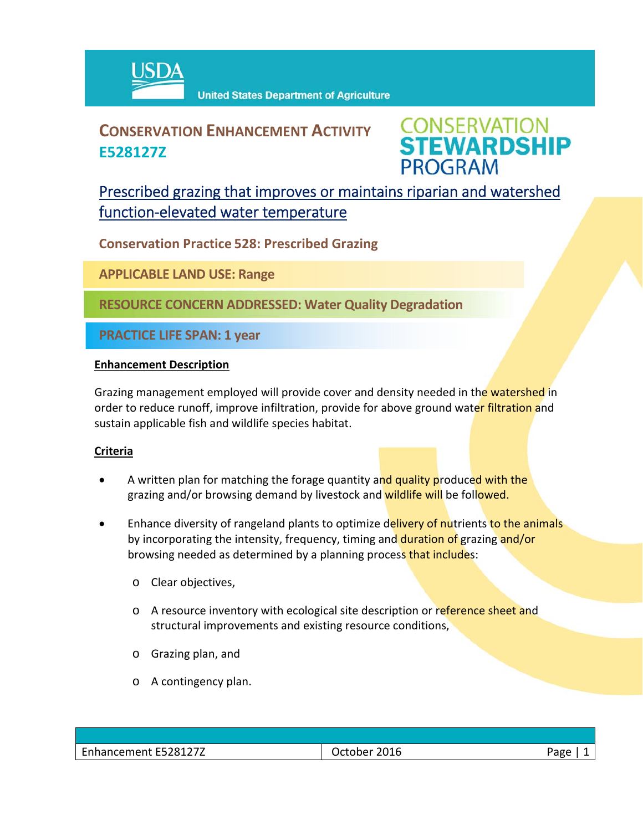

# **CONSERVATION ENHANCEMENT ACTIVITY E528127Z**



## Prescribed grazing that improves or maintains riparian and watershed function‐elevated water temperature

**Conservation Practice 528: Prescribed Grazing**

**APPLICABLE LAND USE: Range**

**RESOURCE CONCERN ADDRESSED: Water Quality Degradation**

**PRACTICE LIFE SPAN: 1 year**

#### **Enhancement Description**

Grazing management employed will provide cover and density needed in the watershed in order to reduce runoff, improve infiltration, provide for above ground water filtration and sustain applicable fish and wildlife species habitat.

### **Criteria**

- A written plan for matching the forage quantity and quality produced with the grazing and/or browsing demand by livestock and wildlife will be followed.
- Enhance diversity of rangeland plants to optimize delivery of nutrients to the animals by incorporating the intensity, frequency, timing and duration of grazing and/or browsing needed as determined by a planning process that includes:
	- o Clear objectives,
	- o A resource inventory with ecological site description or reference sheet and structural improvements and existing resource conditions,
	- o Grazing plan, and
	- o A contingency plan.

| Enhancement E528127Z | 2016<br>October | age? |
|----------------------|-----------------|------|